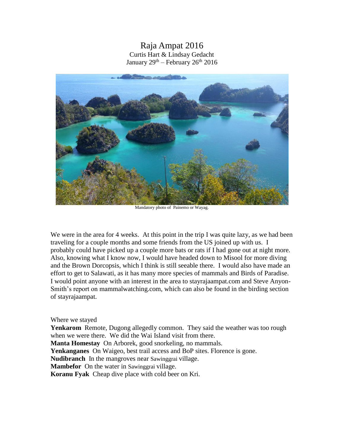## Raja Ampat 2016 Curtis Hart & Lindsay Gedacht January 29<sup>th</sup> – February 26<sup>th</sup> 2016



Mandatory photo of Painemo or Wayag.

We were in the area for 4 weeks. At this point in the trip I was quite lazy, as we had been traveling for a couple months and some friends from the US joined up with us. I probably could have picked up a couple more bats or rats if I had gone out at night more. Also, knowing what I know now, I would have headed down to Misool for more diving and the Brown Dorcopsis, which I think is still seeable there. I would also have made an effort to get to Salawati, as it has many more species of mammals and Birds of Paradise. I would point anyone with an interest in the area to stayrajaampat.com and Steve Anyon-Smith's report on mammalwatching.com, which can also be found in the birding section of stayrajaampat.

## Where we stayed

**Yenkarom** Remote, Dugong allegedly common. They said the weather was too rough when we were there. We did the Wai Island visit from there.

**Manta Homestay** On Arborek, good snorkeling, no mammals.

**Yenkanganes** On Waigeo, best trail access and BoP sites. Florence is gone.

**Nudibranch** In the mangroves near Sawinggrai village.

**Mambefor** On the water in Sawinggrai village.

**Koranu Fyak** Cheap dive place with cold beer on Kri.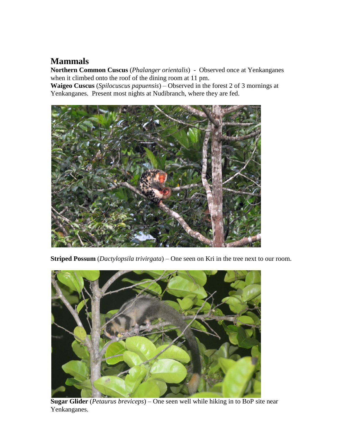## **Mammals**

**Northern Common Cuscus** (*Phalanger orientalis*) - Observed once at Yenkanganes when it climbed onto the roof of the dining room at 11 pm.

**Waigeo Cuscus** (*Spilocuscus papuensis*) – Observed in the forest 2 of 3 mornings at Yenkanganes. Present most nights at Nudibranch, where they are fed.



**Striped Possum** (*Dactylopsila trivirgata*) – One seen on Kri in the tree next to our room.



**Sugar Glider** (*Petaurus breviceps*) – One seen well while hiking in to BoP site near Yenkanganes.